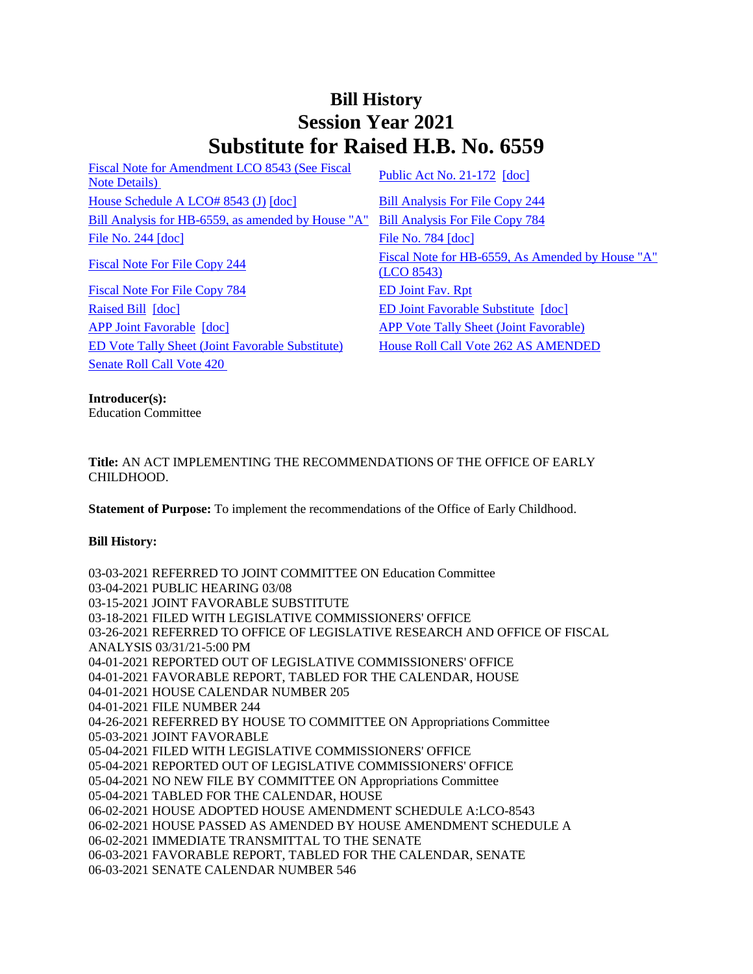## **Bill History Session Year 2021 Substitute for Raised H.B. No. 6559**

[Fiscal Note for Amendment LCO 8543 \(See Fiscal](/2021/fna/pdf/2021HB-06559-R00LCO08543-FNA.pdf)  <u>Public Act No. 21-172</u> [doc]<br>[Note Details\)](/2021/fna/pdf/2021HB-06559-R00LCO08543-FNA.pdf) [Public Act No. 21-172](/2021/ACT/PA/PDF/2021PA-00172-R00HB-06559-PA.PDF) [\[doc\]](https://search.cga.state.ct.us/dl2021/PA/DOC/2021PA-00172-R00HB-06559-PA.DOCX) House [Schedule A LCO# 8543 \(J\)](/2021/amd/H/pdf/2021HB-06559-R00HA-AMD.pdf) [\[doc\]](https://search.cga.state.ct.us/dl2021/AMd/DOC/2021HB-06559-R00HA-AMD.Docx) [Bill Analysis For File Copy 244](/2021/BA/PDF/2021HB-06559-R000244-BA.PDF) [Bill Analysis for HB-6559, as amended by House "A"](/2021/BA/PDF/2021HB-06559-R01-BA.PDF) [Bill Analysis For File Copy 784](/2021/BA/PDF/2021HB-06559-R010784-BA.PDF) [File No. 244](/2021/FC/PDF/2021HB-06559-R000244-FC.PDF) [\[doc\]](/2021/FC/PDF/2021HB-06559-R000784-FC.PDF) [File No. 784](/2021/FC/PDF/2021HB-06559-R000784-FC.PDF) [doc] [Fiscal Note For File Copy 784](/2021/FN/PDF/2021HB-06559-R010784-FN.PDF) [ED Joint Fav. Rpt](/2021/JFR/H/PDF/2021HB-06559-R00ED-JFR.PDF) [Raised Bill](/2021/TOB/H/PDF/2021HB-06559-R00-HB.PDF) [\[doc\]](https://search.cga.state.ct.us/dl2021/TOB/DOC/2021HB-06559-R00-HB.DOCX) [ED Joint Favorable Substitute](/2021/TOB/H/PDF/2021HB-06559-R01-HB.PDF) [\[doc\]](https://search.cga.state.ct.us/dl2021/TOB/DOC/2021HB-06559-R01-HB.DOCX)

[APP Joint Favorable](/2021/TOB/H/PDF/2021HB-06559-R02-HB.PDF) [\[doc\]](https://search.cga.state.ct.us/dl2021/TOB/DOC/2021HB-06559-R02-HB.DOCX) [APP Vote Tally Sheet \(Joint Favorable\)](/2021/TS/H/PDF/2021HB-06559-R00APP-CV77-TS.PDF) [ED Vote Tally Sheet \(Joint Favorable Substitute\)](/2021/TS/H/PDF/2021HB-06559-R00ED-CV8-TS.PDF) [House Roll Call Vote 262 AS AMENDED](/2021/VOTE/H/PDF/2021HV-00262-R00HB06559-HV.PDF)  [Senate Roll Call Vote 420](/2021/VOTE/S/PDF/2021SV-00420-R00HB06559-SV.PDF) 

[Fiscal Note For File Copy 244](/2021/FN/PDF/2021HB-06559-R000244-FN.PDF) Fiscal Note for HB-6559, As Amended by House "A" [\(LCO 8543\)](/2021/FN/PDF/2021HB-06559-R01-FN.PDF)

**Introducer(s):**

Education Committee

**Title:** AN ACT IMPLEMENTING THE RECOMMENDATIONS OF THE OFFICE OF EARLY CHILDHOOD.

**Statement of Purpose:** To implement the recommendations of the Office of Early Childhood.

## **Bill History:**

03-03-2021 REFERRED TO JOINT COMMITTEE ON Education Committee 03-04-2021 PUBLIC HEARING 03/08 03-15-2021 JOINT FAVORABLE SUBSTITUTE 03-18-2021 FILED WITH LEGISLATIVE COMMISSIONERS' OFFICE 03-26-2021 REFERRED TO OFFICE OF LEGISLATIVE RESEARCH AND OFFICE OF FISCAL ANALYSIS 03/31/21-5:00 PM 04-01-2021 REPORTED OUT OF LEGISLATIVE COMMISSIONERS' OFFICE 04-01-2021 FAVORABLE REPORT, TABLED FOR THE CALENDAR, HOUSE 04-01-2021 HOUSE CALENDAR NUMBER 205 04-01-2021 FILE NUMBER 244 04-26-2021 REFERRED BY HOUSE TO COMMITTEE ON Appropriations Committee 05-03-2021 JOINT FAVORABLE 05-04-2021 FILED WITH LEGISLATIVE COMMISSIONERS' OFFICE 05-04-2021 REPORTED OUT OF LEGISLATIVE COMMISSIONERS' OFFICE 05-04-2021 NO NEW FILE BY COMMITTEE ON Appropriations Committee 05-04-2021 TABLED FOR THE CALENDAR, HOUSE 06-02-2021 HOUSE ADOPTED HOUSE AMENDMENT SCHEDULE A:LCO-8543 06-02-2021 HOUSE PASSED AS AMENDED BY HOUSE AMENDMENT SCHEDULE A 06-02-2021 IMMEDIATE TRANSMITTAL TO THE SENATE 06-03-2021 FAVORABLE REPORT, TABLED FOR THE CALENDAR, SENATE 06-03-2021 SENATE CALENDAR NUMBER 546